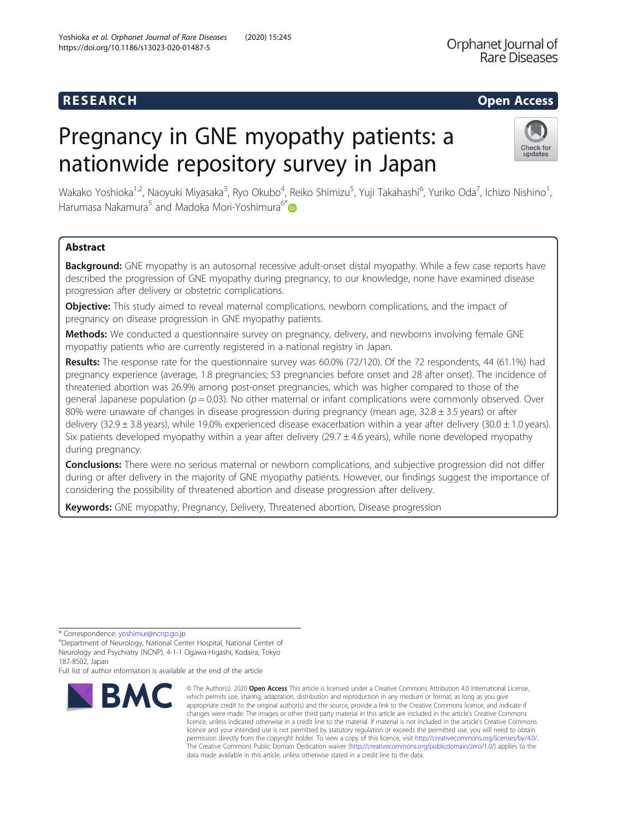# **RESEARCH CHILD CONTROL** CONTROL CONTROL CONTROL CONTROL CONTROL CONTROL CONTROL CONTROL CONTROL CONTROL CONTROL CONTROL CONTROL CONTROL CONTROL CONTROL CONTROL CONTROL CONTROL CONTROL CONTROL CONTROL CONTROL CONTROL CONTR

# Pregnancy in GNE myopathy patients: a nationwide repository survey in Japan



Wakako Yoshioka<sup>1,2</sup>, Naoyuki Miyasaka<sup>3</sup>, Ryo Okubo<sup>4</sup>, Reiko Shimizu<sup>5</sup>, Yuji Takahashi<sup>6</sup>, Yuriko Oda<sup>7</sup>, Ichizo Nishino<sup>1</sup> , Harumasa Nakamura<sup>5</sup> and Madoka Mori-Yoshimura<sup>6\*</sup>

# Abstract

Background: GNE myopathy is an autosomal recessive adult-onset distal myopathy. While a few case reports have described the progression of GNE myopathy during pregnancy, to our knowledge, none have examined disease progression after delivery or obstetric complications.

**Objective:** This study aimed to reveal maternal complications, newborn complications, and the impact of pregnancy on disease progression in GNE myopathy patients.

Methods: We conducted a questionnaire survey on pregnancy, delivery, and newborns involving female GNE myopathy patients who are currently registered in a national registry in Japan.

Results: The response rate for the questionnaire survey was 60.0% (72/120). Of the 72 respondents, 44 (61.1%) had pregnancy experience (average, 1.8 pregnancies; 53 pregnancies before onset and 28 after onset). The incidence of threatened abortion was 26.9% among post-onset pregnancies, which was higher compared to those of the general Japanese population ( $p = 0.03$ ). No other maternal or infant complications were commonly observed. Over 80% were unaware of changes in disease progression during pregnancy (mean age, 32.8 ± 3.5 years) or after delivery (32.9  $\pm$  3.8 years), while 19.0% experienced disease exacerbation within a year after delivery (30.0  $\pm$  1.0 years). Six patients developed myopathy within a year after delivery  $(29.7 \pm 4.6 \,\text{years})$ , while none developed myopathy during pregnancy.

Conclusions: There were no serious maternal or newborn complications, and subjective progression did not differ during or after delivery in the majority of GNE myopathy patients. However, our findings suggest the importance of considering the possibility of threatened abortion and disease progression after delivery.

Keywords: GNE myopathy, Pregnancy, Delivery, Threatened abortion, Disease progression

Full list of author information is available at the end of the article



<sup>©</sup> The Author(s), 2020 **Open Access** This article is licensed under a Creative Commons Attribution 4.0 International License, which permits use, sharing, adaptation, distribution and reproduction in any medium or format, as long as you give appropriate credit to the original author(s) and the source, provide a link to the Creative Commons licence, and indicate if changes were made. The images or other third party material in this article are included in the article's Creative Commons licence, unless indicated otherwise in a credit line to the material. If material is not included in the article's Creative Commons licence and your intended use is not permitted by statutory regulation or exceeds the permitted use, you will need to obtain permission directly from the copyright holder. To view a copy of this licence, visit [http://creativecommons.org/licenses/by/4.0/.](http://creativecommons.org/licenses/by/4.0/) The Creative Commons Public Domain Dedication waiver [\(http://creativecommons.org/publicdomain/zero/1.0/](http://creativecommons.org/publicdomain/zero/1.0/)) applies to the data made available in this article, unless otherwise stated in a credit line to the data.

<sup>\*</sup> Correspondence: [yoshimur@ncnp.go.jp](mailto:yoshimur@ncnp.go.jp) <sup>6</sup>

Department of Neurology, National Center Hospital, National Center of Neurology and Psychiatry (NCNP), 4-1-1 Ogawa-Higashi, Kodaira, Tokyo 187-8502, Japan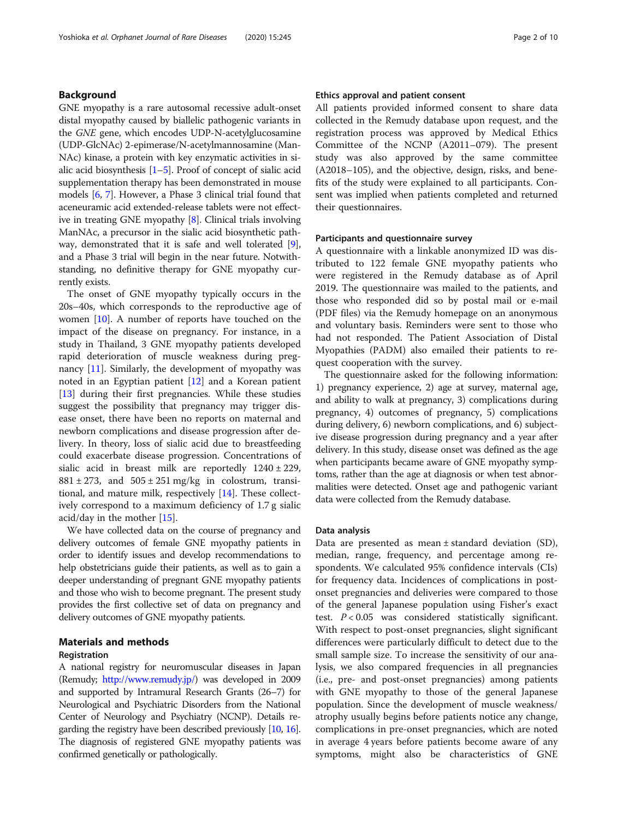# Background

GNE myopathy is a rare autosomal recessive adult-onset distal myopathy caused by biallelic pathogenic variants in the GNE gene, which encodes UDP-N-acetylglucosamine (UDP-GlcNAc) 2-epimerase/N-acetylmannosamine (Man-NAc) kinase, a protein with key enzymatic activities in sialic acid biosynthesis  $[1–5]$  $[1–5]$  $[1–5]$  $[1–5]$  $[1–5]$ . Proof of concept of sialic acid supplementation therapy has been demonstrated in mouse models [[6](#page-9-0), [7\]](#page-9-0). However, a Phase 3 clinical trial found that aceneuramic acid extended-release tablets were not effective in treating GNE myopathy [[8](#page-9-0)]. Clinical trials involving ManNAc, a precursor in the sialic acid biosynthetic pathway, demonstrated that it is safe and well tolerated [[9](#page-9-0)], and a Phase 3 trial will begin in the near future. Notwithstanding, no definitive therapy for GNE myopathy currently exists.

The onset of GNE myopathy typically occurs in the 20s–40s, which corresponds to the reproductive age of women [[10](#page-9-0)]. A number of reports have touched on the impact of the disease on pregnancy. For instance, in a study in Thailand, 3 GNE myopathy patients developed rapid deterioration of muscle weakness during pregnancy [\[11](#page-9-0)]. Similarly, the development of myopathy was noted in an Egyptian patient [\[12](#page-9-0)] and a Korean patient [[13\]](#page-9-0) during their first pregnancies. While these studies suggest the possibility that pregnancy may trigger disease onset, there have been no reports on maternal and newborn complications and disease progression after delivery. In theory, loss of sialic acid due to breastfeeding could exacerbate disease progression. Concentrations of sialic acid in breast milk are reportedly 1240 ± 229,  $881 \pm 273$ , and  $505 \pm 251$  mg/kg in colostrum, transitional, and mature milk, respectively [\[14\]](#page-9-0). These collectively correspond to a maximum deficiency of 1.7 g sialic acid/day in the mother [\[15](#page-9-0)].

We have collected data on the course of pregnancy and delivery outcomes of female GNE myopathy patients in order to identify issues and develop recommendations to help obstetricians guide their patients, as well as to gain a deeper understanding of pregnant GNE myopathy patients and those who wish to become pregnant. The present study provides the first collective set of data on pregnancy and delivery outcomes of GNE myopathy patients.

# Materials and methods

# Registration

A national registry for neuromuscular diseases in Japan (Remudy; <http://www.remudy.jp/>) was developed in 2009 and supported by Intramural Research Grants (26–7) for Neurological and Psychiatric Disorders from the National Center of Neurology and Psychiatry (NCNP). Details regarding the registry have been described previously [\[10](#page-9-0), [16](#page-9-0)]. The diagnosis of registered GNE myopathy patients was confirmed genetically or pathologically.

# Ethics approval and patient consent

All patients provided informed consent to share data collected in the Remudy database upon request, and the registration process was approved by Medical Ethics Committee of the NCNP (A2011–079). The present study was also approved by the same committee (A2018–105), and the objective, design, risks, and benefits of the study were explained to all participants. Consent was implied when patients completed and returned their questionnaires.

# Participants and questionnaire survey

A questionnaire with a linkable anonymized ID was distributed to 122 female GNE myopathy patients who were registered in the Remudy database as of April 2019. The questionnaire was mailed to the patients, and those who responded did so by postal mail or e-mail (PDF files) via the Remudy homepage on an anonymous and voluntary basis. Reminders were sent to those who had not responded. The Patient Association of Distal Myopathies (PADM) also emailed their patients to request cooperation with the survey.

The questionnaire asked for the following information: 1) pregnancy experience, 2) age at survey, maternal age, and ability to walk at pregnancy, 3) complications during pregnancy, 4) outcomes of pregnancy, 5) complications during delivery, 6) newborn complications, and 6) subjective disease progression during pregnancy and a year after delivery. In this study, disease onset was defined as the age when participants became aware of GNE myopathy symptoms, rather than the age at diagnosis or when test abnormalities were detected. Onset age and pathogenic variant data were collected from the Remudy database.

# Data analysis

Data are presented as mean ± standard deviation (SD), median, range, frequency, and percentage among respondents. We calculated 95% confidence intervals (CIs) for frequency data. Incidences of complications in postonset pregnancies and deliveries were compared to those of the general Japanese population using Fisher's exact test. P < 0.05 was considered statistically significant. With respect to post-onset pregnancies, slight significant differences were particularly difficult to detect due to the small sample size. To increase the sensitivity of our analysis, we also compared frequencies in all pregnancies (i.e., pre- and post-onset pregnancies) among patients with GNE myopathy to those of the general Japanese population. Since the development of muscle weakness/ atrophy usually begins before patients notice any change, complications in pre-onset pregnancies, which are noted in average 4 years before patients become aware of any symptoms, might also be characteristics of GNE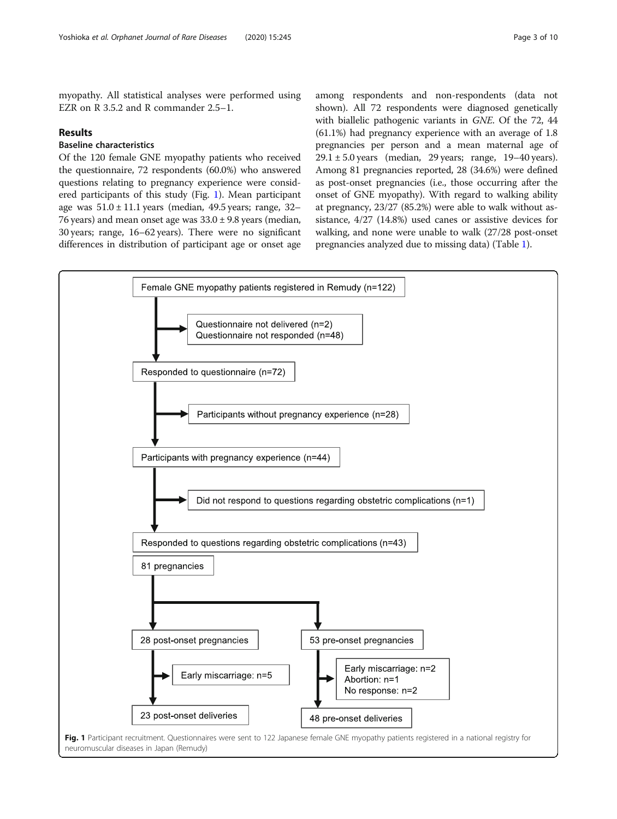myopathy. All statistical analyses were performed using EZR on R 3.5.2 and R commander 2.5–1.

# Results

# Baseline characteristics

Of the 120 female GNE myopathy patients who received the questionnaire, 72 respondents (60.0%) who answered questions relating to pregnancy experience were considered participants of this study (Fig. 1). Mean participant age was  $51.0 \pm 11.1$  years (median, 49.5 years; range, 32– 76 years) and mean onset age was  $33.0 \pm 9.8$  years (median, 30 years; range, 16–62 years). There were no significant differences in distribution of participant age or onset age

among respondents and non-respondents (data not shown). All 72 respondents were diagnosed genetically with biallelic pathogenic variants in GNE. Of the 72, 44 (61.1%) had pregnancy experience with an average of 1.8 pregnancies per person and a mean maternal age of  $29.1 \pm 5.0$  years (median, 29 years; range, 19–40 years). Among 81 pregnancies reported, 28 (34.6%) were defined as post-onset pregnancies (i.e., those occurring after the onset of GNE myopathy). With regard to walking ability at pregnancy, 23/27 (85.2%) were able to walk without assistance, 4/27 (14.8%) used canes or assistive devices for walking, and none were unable to walk (27/28 post-onset pregnancies analyzed due to missing data) (Table [1](#page-3-0)).

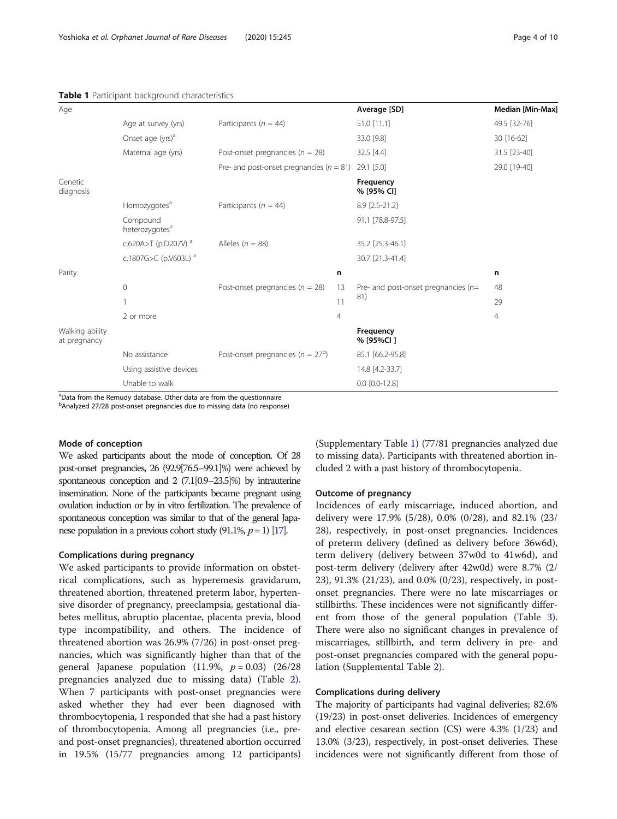# <span id="page-3-0"></span>Table 1 Participant background characteristics

| Age                             |                                        |                                              |                | Average [SD]                        | Median [Min-Max] |
|---------------------------------|----------------------------------------|----------------------------------------------|----------------|-------------------------------------|------------------|
|                                 | Age at survey (yrs)                    | Participants ( $n = 44$ )                    |                | 51.0 [11.1]                         | 49.5 [32-76]     |
|                                 | Onset age (yrs) <sup>a</sup>           |                                              |                | 33.0 [9.8]                          | 30 [16-62]       |
|                                 | Maternal age (yrs)                     | Post-onset pregnancies ( $n = 28$ )          |                | 32.5 [4.4]                          | 31.5 [23-40]     |
|                                 |                                        | Pre- and post-onset pregnancies ( $n = 81$ ) |                | 29.1 [5.0]                          | 29.0 [19-40]     |
| Genetic<br>diagnosis            |                                        |                                              |                | Frequency<br>% [95% CI]             |                  |
|                                 | Homozygotes <sup>a</sup>               | Participants ( $n = 44$ )                    |                | 8.9 [2.5-21.2]                      |                  |
|                                 | Compound<br>heterozygotes <sup>a</sup> |                                              |                | 91.1 [78.8-97.5]                    |                  |
|                                 | c.620A>T (p.D207V) $^a$                | Alleles ( $n = 88$ )                         |                | 35.2 [25.3-46.1]                    |                  |
|                                 | c.1807G>C (p.V603L) <sup>a</sup>       |                                              |                | 30.7 [21.3-41.4]                    |                  |
| Parity                          |                                        |                                              | n              |                                     | n                |
|                                 | 0                                      | Post-onset pregnancies ( $n = 28$ )          | 13             | Pre- and post-onset pregnancies (n= | 48               |
|                                 |                                        |                                              | 11             | 81)                                 | 29               |
|                                 | 2 or more                              |                                              | $\overline{4}$ |                                     | 4                |
| Walking ability<br>at pregnancy |                                        |                                              |                | Frequency<br>% [95%Cl]              |                  |
|                                 | No assistance                          | Post-onset pregnancies ( $n = 27^b$ )        |                | 85.1 [66.2-95.8]                    |                  |
|                                 | Using assistive devices                |                                              |                | 14.8 [4.2-33.7]                     |                  |
|                                 | Unable to walk                         |                                              |                | $0.0$ $[0.0-12.8]$                  |                  |

<sup>a</sup>Data from the Remudy database. Other data are from the questionnaire

<sup>b</sup>Analyzed 27/28 post-onset pregnancies due to missing data (no response)

# Mode of conception

We asked participants about the mode of conception. Of 28 post-onset pregnancies, 26 (92.9[76.5–99.1]%) were achieved by spontaneous conception and 2 (7.1[0.9–23.5]%) by intrauterine insemination. None of the participants became pregnant using ovulation induction or by in vitro fertilization. The prevalence of spontaneous conception was similar to that of the general Japanese population in a previous cohort study  $(91.1\%, p=1)$  [\[17\]](#page-9-0).

# Complications during pregnancy

We asked participants to provide information on obstetrical complications, such as hyperemesis gravidarum, threatened abortion, threatened preterm labor, hypertensive disorder of pregnancy, preeclampsia, gestational diabetes mellitus, abruptio placentae, placenta previa, blood type incompatibility, and others. The incidence of threatened abortion was 26.9% (7/26) in post-onset pregnancies, which was significantly higher than that of the general Japanese population (11.9%,  $p = 0.03$ ) (26/28) pregnancies analyzed due to missing data) (Table [2](#page-4-0)). When 7 participants with post-onset pregnancies were asked whether they had ever been diagnosed with thrombocytopenia, 1 responded that she had a past history of thrombocytopenia. Among all pregnancies (i.e., preand post-onset pregnancies), threatened abortion occurred in 19.5% (15/77 pregnancies among 12 participants)

(Supplementary Table [1](#page-8-0)) (77/81 pregnancies analyzed due to missing data). Participants with threatened abortion included 2 with a past history of thrombocytopenia.

# Outcome of pregnancy

Incidences of early miscarriage, induced abortion, and delivery were 17.9% (5/28), 0.0% (0/28), and 82.1% (23/ 28), respectively, in post-onset pregnancies. Incidences of preterm delivery (defined as delivery before 36w6d), term delivery (delivery between 37w0d to 41w6d), and post-term delivery (delivery after 42w0d) were 8.7% (2/ 23), 91.3% (21/23), and 0.0% (0/23), respectively, in postonset pregnancies. There were no late miscarriages or stillbirths. These incidences were not significantly different from those of the general population (Table [3](#page-4-0)). There were also no significant changes in prevalence of miscarriages, stillbirth, and term delivery in pre- and post-onset pregnancies compared with the general population (Supplemental Table [2\)](#page-8-0).

# Complications during delivery

The majority of participants had vaginal deliveries; 82.6% (19/23) in post-onset deliveries. Incidences of emergency and elective cesarean section (CS) were 4.3% (1/23) and 13.0% (3/23), respectively, in post-onset deliveries. These incidences were not significantly different from those of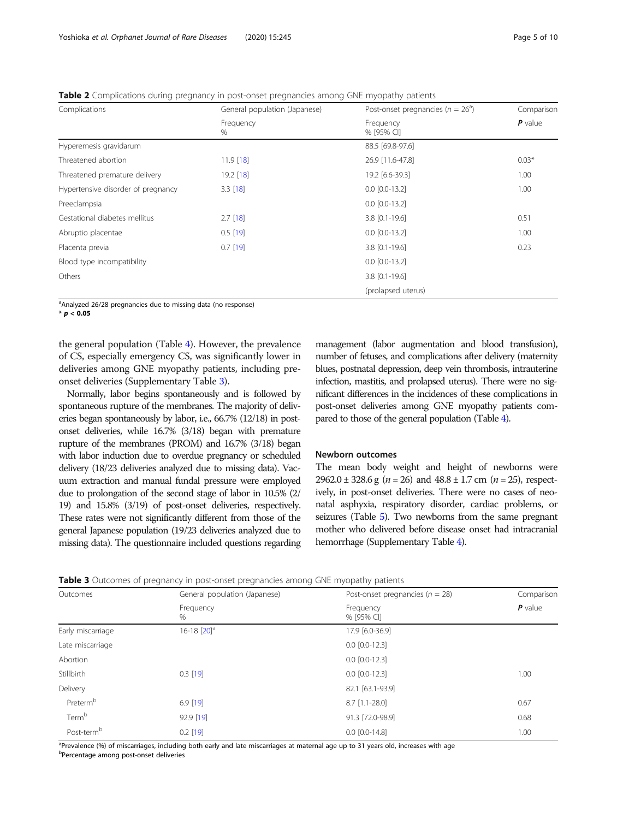<span id="page-4-0"></span>

| Table 2 Complications during pregnancy in post-onset pregnancies among GNE myopathy patients |  |  |  |
|----------------------------------------------------------------------------------------------|--|--|--|
|----------------------------------------------------------------------------------------------|--|--|--|

| Complications                      | General population (Japanese) | Post-onset pregnancies ( $n = 26a$ ) | Comparison<br>$P$ value |  |
|------------------------------------|-------------------------------|--------------------------------------|-------------------------|--|
|                                    | Frequency<br>$\%$             | Frequency<br>% [95% CI]              |                         |  |
| Hyperemesis gravidarum             |                               | 88.5 [69.8-97.6]                     |                         |  |
| Threatened abortion                | $11.9$ [18]                   | 26.9 [11.6-47.8]                     | $0.03*$                 |  |
| Threatened premature delivery      | 19.2 [18]                     | 19.2 [6.6-39.3]                      | 1.00                    |  |
| Hypertensive disorder of pregnancy | $3.3$ [18]                    | $0.0$ $[0.0-13.2]$                   | 1.00                    |  |
| Preeclampsia                       |                               | $0.0$ $[0.0-13.2]$                   |                         |  |
| Gestational diabetes mellitus      | $2.7$ [18]                    | 3.8 [0.1-19.6]                       | 0.51                    |  |
| Abruptio placentae                 | $0.5$ [19]                    | $0.0$ $[0.0-13.2]$                   | 1.00                    |  |
| Placenta previa                    | $0.7$ [19]                    | 3.8 [0.1-19.6]                       | 0.23                    |  |
| Blood type incompatibility         |                               | $0.0$ $[0.0-13.2]$                   |                         |  |
| Others                             |                               | 3.8 [0.1-19.6]                       |                         |  |
|                                    |                               | (prolapsed uterus)                   |                         |  |

<sup>a</sup>Analyzed 26/28 pregnancies due to missing data (no response)

the general population (Table [4\)](#page-5-0). However, the prevalence of CS, especially emergency CS, was significantly lower in deliveries among GNE myopathy patients, including preonset deliveries (Supplementary Table [3\)](#page-8-0).

Normally, labor begins spontaneously and is followed by spontaneous rupture of the membranes. The majority of deliveries began spontaneously by labor, i.e., 66.7% (12/18) in postonset deliveries, while 16.7% (3/18) began with premature rupture of the membranes (PROM) and 16.7% (3/18) began with labor induction due to overdue pregnancy or scheduled delivery (18/23 deliveries analyzed due to missing data). Vacuum extraction and manual fundal pressure were employed due to prolongation of the second stage of labor in 10.5% (2/ 19) and 15.8% (3/19) of post-onset deliveries, respectively. These rates were not significantly different from those of the general Japanese population (19/23 deliveries analyzed due to missing data). The questionnaire included questions regarding

management (labor augmentation and blood transfusion), number of fetuses, and complications after delivery (maternity blues, postnatal depression, deep vein thrombosis, intrauterine infection, mastitis, and prolapsed uterus). There were no significant differences in the incidences of these complications in post-onset deliveries among GNE myopathy patients compared to those of the general population (Table [4](#page-5-0)).

#### Newborn outcomes

The mean body weight and height of newborns were  $2962.0 \pm 328.6$  g ( $n = 26$ ) and  $48.8 \pm 1.7$  cm ( $n = 25$ ), respectively, in post-onset deliveries. There were no cases of neonatal asphyxia, respiratory disorder, cardiac problems, or seizures (Table [5](#page-6-0)). Two newborns from the same pregnant mother who delivered before disease onset had intracranial hemorrhage (Supplementary Table [4\)](#page-8-0).

| Table 3 Outcomes of pregnancy in post-onset pregnancies among GNE myopathy patients |  |
|-------------------------------------------------------------------------------------|--|
|-------------------------------------------------------------------------------------|--|

| Outcomes               | General population (Japanese) | Post-onset pregnancies ( $n = 28$ ) | Comparison<br>$P$ value |  |
|------------------------|-------------------------------|-------------------------------------|-------------------------|--|
|                        | Frequency<br>%                | Frequency<br>% [95% CI]             |                         |  |
| Early miscarriage      | $16-18$ $[20]$ <sup>a</sup>   | 17.9 [6.0-36.9]                     |                         |  |
| Late miscarriage       |                               | $0.0$ $[0.0-12.3]$                  |                         |  |
| Abortion               |                               | $0.0$ $[0.0-12.3]$                  |                         |  |
| Stillbirth             | $0.3$ [19]                    | $0.0$ $[0.0-12.3]$                  | 1.00                    |  |
| Delivery               |                               | 82.1 [63.1-93.9]                    |                         |  |
| Preterm <sup>b</sup>   | $6.9$ [19]                    | $8.7$ [1.1-28.0]                    | 0.67                    |  |
| Term <sup>b</sup>      | 92.9 [19]                     | 91.3 [72.0-98.9]                    | 0.68                    |  |
| Post-term <sup>b</sup> | $0.2$ [19]                    | $0.0$ $[0.0 - 14.8]$                | 1.00                    |  |

<sup>a</sup>Prevalence (%) of miscarriages, including both early and late miscarriages at maternal age up to 31 years old, increases with age

b Percentage among post-onset deliveries

 $*$  p < 0.05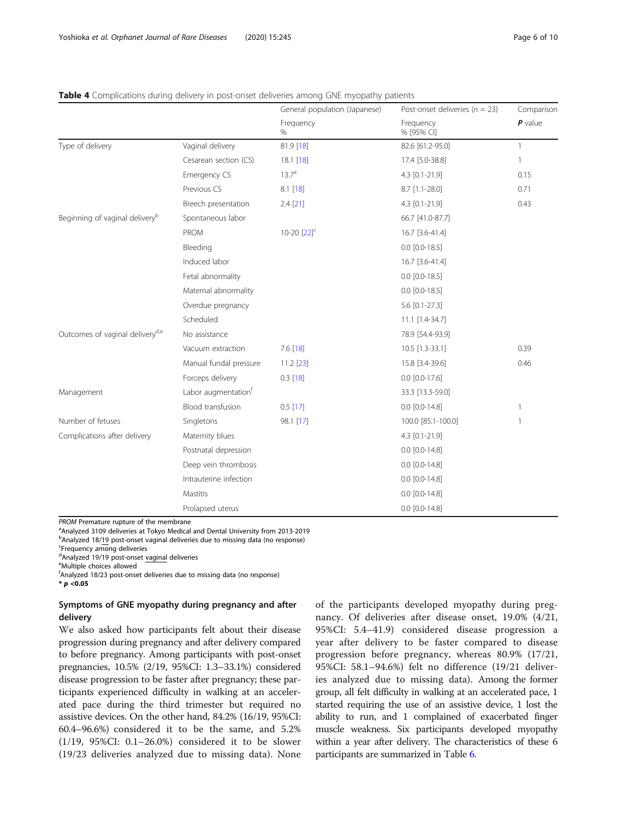|                                             |                        | General population (Japanese) | Post-onset deliveries ( $n = 23$ ) | Comparison   |
|---------------------------------------------|------------------------|-------------------------------|------------------------------------|--------------|
|                                             |                        | Frequency<br>$\%$             | Frequency<br>% [95% CI]            | $P$ value    |
| Type of delivery                            | Vaginal delivery       | 81.9 [18]                     | 82.6 [61.2-95.0]                   | $\mathbf{1}$ |
|                                             | Cesarean section (CS)  | 18.1 [18]                     | 17.4 [5.0-38.8]                    | $\mathbf{1}$ |
|                                             | Emergency CS           | $13.7^{\circ}$                | 4.3 [0.1-21.9]                     | 0.15         |
|                                             | Previous CS            | $8.1$ [18]                    | 8.7 [1.1-28.0]                     | 0.71         |
|                                             | Breech presentation    | 2.4[21]                       | 4.3 [0.1-21.9]                     | 0.43         |
| Beginning of vaginal delivery <sup>b</sup>  | Spontaneous labor      |                               | 66.7 [41.0-87.7]                   |              |
|                                             | <b>PROM</b>            | 10-20 $[22]^{c}$              | 16.7 [3.6-41.4]                    |              |
|                                             | Bleeding               |                               | $0.0$ [0.0-18.5]                   |              |
|                                             | Induced labor          |                               | 16.7 [3.6-41.4]                    |              |
|                                             | Fetal abnormality      |                               | $0.0$ [0.0-18.5]                   |              |
|                                             | Maternal abnormality   |                               | $0.0$ $[0.0 - 18.5]$               |              |
|                                             | Overdue pregnancy      |                               | 5.6 [0.1-27.3]                     |              |
|                                             | Scheduled              |                               | 11.1 [1.4-34.7]                    |              |
| Outcomes of vaginal delivery <sup>d,e</sup> | No assistance          |                               | 78.9 [54.4-93.9]                   |              |
|                                             | Vacuum extraction      | 7.6[18]                       | 10.5 [1.3-33.1]                    | 0.39         |
|                                             | Manual fundal pressure | 11.2 [23]                     | 15.8 [3.4-39.6]                    | 0.46         |
|                                             | Forceps delivery       | $0.3$ [18]                    | $0.0$ [0.0-17.6]                   |              |
| Management                                  | Labor augmentationf    |                               | 33.3 [13.3-59.0]                   |              |
|                                             | Blood transfusion      | $0.5$ [17]                    | $0.0$ $[0.0 - 14.8]$               | $\mathbf{1}$ |
| Number of fetuses                           | Singletons             | 98.1 [17]                     | 100.0 [85.1-100.0]                 | $\mathbf{1}$ |
| Complications after delivery                | Maternity blues        |                               | 4.3 [0.1-21.9]                     |              |
|                                             | Postnatal depression   |                               | $0.0$ $[0.0 - 14.8]$               |              |
|                                             | Deep vein thrombosis   |                               | $0.0$ $[0.0 - 14.8]$               |              |
|                                             | Intrauterine infection |                               | $0.0$ $[0.0-14.8]$                 |              |
|                                             | Mastitis               |                               | $0.0$ $[0.0 - 14.8]$               |              |
|                                             | Prolapsed uterus       |                               | $0.0$ $[0.0-14.8]$                 |              |

# <span id="page-5-0"></span>Table 4 Complications during delivery in post-onset deliveries among GNE myopathy patients

*PROM* Premature rupture of the membrane<br><sup>a</sup>Analyzed 3109 deliveries at Tokyo Medical and Dental University from 2013-2019

b Analyzed 18/19 post-onset vaginal deliveries due to missing data (no response)<br><sup>CE</sup>requency among deliveries

Frequency among deliveries

<sup>d</sup>Analyzed 19/19 post-onset vaginal deliveries

Multiple choices allowed

f Analyzed 18/23 post-onset deliveries due to missing data (no response)

 $*$  p <0.05

# Symptoms of GNE myopathy during pregnancy and after delivery

We also asked how participants felt about their disease progression during pregnancy and after delivery compared to before pregnancy. Among participants with post-onset pregnancies, 10.5% (2/19, 95%CI: 1.3–33.1%) considered disease progression to be faster after pregnancy; these participants experienced difficulty in walking at an accelerated pace during the third trimester but required no assistive devices. On the other hand, 84.2% (16/19, 95%CI: 60.4–96.6%) considered it to be the same, and 5.2% (1/19, 95%CI: 0.1–26.0%) considered it to be slower (19/23 deliveries analyzed due to missing data). None of the participants developed myopathy during pregnancy. Of deliveries after disease onset, 19.0% (4/21, 95%CI: 5.4–41.9) considered disease progression a year after delivery to be faster compared to disease progression before pregnancy, whereas 80.9% (17/21, 95%CI: 58.1–94.6%) felt no difference (19/21 deliveries analyzed due to missing data). Among the former group, all felt difficulty in walking at an accelerated pace, 1 started requiring the use of an assistive device, 1 lost the ability to run, and 1 complained of exacerbated finger muscle weakness. Six participants developed myopathy within a year after delivery. The characteristics of these 6 participants are summarized in Table [6](#page-6-0).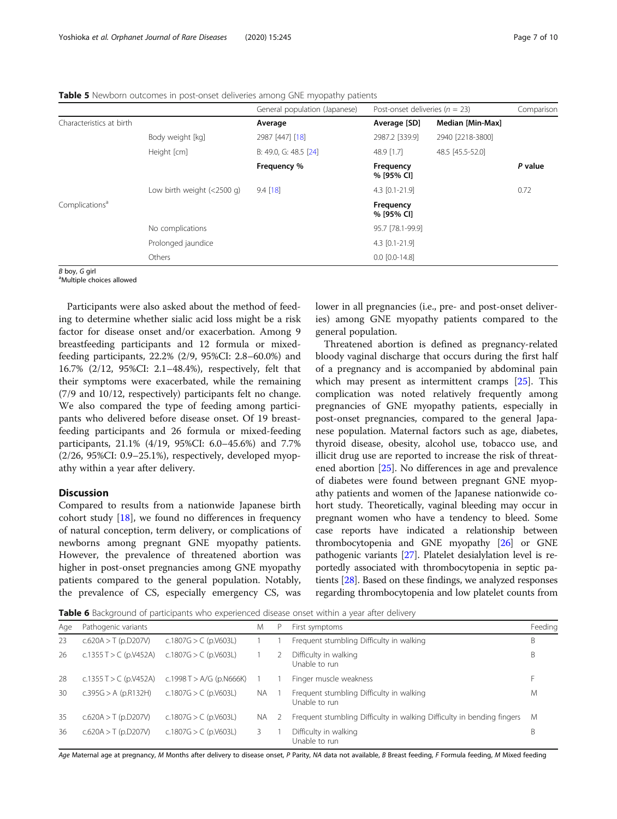|                            |                              | General population (Japanese) | Post-onset deliveries ( $n = 23$ ) |                  | Comparison |
|----------------------------|------------------------------|-------------------------------|------------------------------------|------------------|------------|
| Characteristics at birth   |                              | Average                       | Average [SD]                       | Median [Min-Max] |            |
|                            | Body weight [kg]             | 2987 [447] [18]               | 2987.2 [339.9]                     | 2940 [2218-3800] |            |
|                            | Height [cm]                  | B: 49.0, G: 48.5 [24]         | 48.9 [1.7]                         | 48.5 [45.5-52.0] |            |
|                            |                              | Frequency %                   | Frequency<br>% [95% CI]            |                  | P value    |
|                            | Low birth weight $(<2500$ g) | $9.4$ [18]                    | $4.3$ $[0.1 - 21.9]$               |                  | 0.72       |
| Complications <sup>a</sup> |                              |                               | Frequency<br>% [95% CI]            |                  |            |
|                            | No complications             |                               | 95.7 [78.1-99.9]                   |                  |            |
|                            | Prolonged jaundice           |                               | $4.3$ $[0.1 - 21.9]$               |                  |            |
|                            | Others                       |                               | $0.0$ $[0.0 - 14.8]$               |                  |            |

<span id="page-6-0"></span>Table 5 Newborn outcomes in post-onset deliveries among GNE myopathy patients

*B* boy, G girl<br><sup>a</sup>Multiple choices allowed

Participants were also asked about the method of feeding to determine whether sialic acid loss might be a risk factor for disease onset and/or exacerbation. Among 9 breastfeeding participants and 12 formula or mixedfeeding participants, 22.2% (2/9, 95%CI: 2.8–60.0%) and 16.7% (2/12, 95%CI: 2.1–48.4%), respectively, felt that their symptoms were exacerbated, while the remaining (7/9 and 10/12, respectively) participants felt no change. We also compared the type of feeding among participants who delivered before disease onset. Of 19 breastfeeding participants and 26 formula or mixed-feeding participants, 21.1% (4/19, 95%CI: 6.0–45.6%) and 7.7% (2/26, 95%CI: 0.9–25.1%), respectively, developed myopathy within a year after delivery.

# **Discussion**

Compared to results from a nationwide Japanese birth cohort study [[18\]](#page-9-0), we found no differences in frequency of natural conception, term delivery, or complications of newborns among pregnant GNE myopathy patients. However, the prevalence of threatened abortion was higher in post-onset pregnancies among GNE myopathy patients compared to the general population. Notably, the prevalence of CS, especially emergency CS, was

lower in all pregnancies (i.e., pre- and post-onset deliveries) among GNE myopathy patients compared to the general population.

Threatened abortion is defined as pregnancy-related bloody vaginal discharge that occurs during the first half of a pregnancy and is accompanied by abdominal pain which may present as intermittent cramps [[25](#page-9-0)]. This complication was noted relatively frequently among pregnancies of GNE myopathy patients, especially in post-onset pregnancies, compared to the general Japanese population. Maternal factors such as age, diabetes, thyroid disease, obesity, alcohol use, tobacco use, and illicit drug use are reported to increase the risk of threatened abortion [\[25\]](#page-9-0). No differences in age and prevalence of diabetes were found between pregnant GNE myopathy patients and women of the Japanese nationwide cohort study. Theoretically, vaginal bleeding may occur in pregnant women who have a tendency to bleed. Some case reports have indicated a relationship between thrombocytopenia and GNE myopathy [\[26\]](#page-9-0) or GNE pathogenic variants [\[27](#page-9-0)]. Platelet desialylation level is reportedly associated with thrombocytopenia in septic patients [[28](#page-9-0)]. Based on these findings, we analyzed responses regarding thrombocytopenia and low platelet counts from

**Table 6** Background of participants who experienced disease onset within a year after delivery

| Age | Pathogenic variants      |                          | M         | P | First symptoms                                                         | Feeding |
|-----|--------------------------|--------------------------|-----------|---|------------------------------------------------------------------------|---------|
| 23  | $c.620A > T$ (p.D207V)   | c.1807G > C (p.V603L)    |           |   | Frequent stumbling Difficulty in walking                               | B       |
| 26  | c.1355 T $>$ C (p.V452A) | c.1807G > C (p.V603L)    |           |   | Difficulty in walking<br>Unable to run                                 | B       |
| 28  | c.1355 T $>$ C (p.V452A) | c.1998 T > A/G (p.N666K) |           |   | Finger muscle weakness                                                 |         |
| 30  | $c.395G > A$ (p.R132H)   | c.1807G > C (p.V603L)    | <b>NA</b> |   | Frequent stumbling Difficulty in walking<br>Unable to run              | M       |
| 35  | $c.620A > T$ (p.D207V)   | c.1807G > C (p.V603L)    | NA.       |   | Frequent stumbling Difficulty in walking Difficulty in bending fingers | M       |
| 36  | $c.620A > T$ (p.D207V)   | c.1807G > C (p.V603L)    |           |   | Difficulty in walking<br>Unable to run                                 | B       |

Age Maternal age at pregnancy, M Months after delivery to disease onset, P Parity, NA data not available, B Breast feeding, F Formula feeding, M Mixed feeding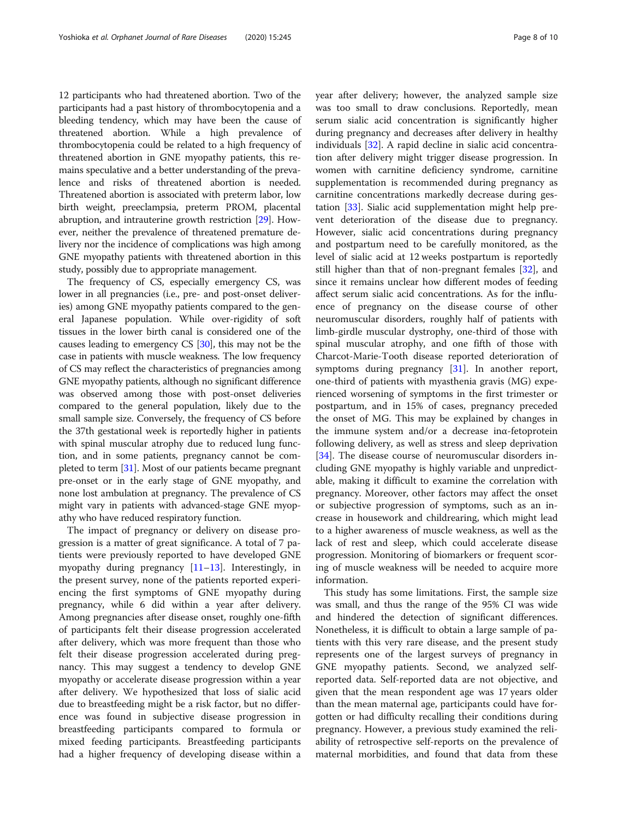12 participants who had threatened abortion. Two of the participants had a past history of thrombocytopenia and a bleeding tendency, which may have been the cause of threatened abortion. While a high prevalence of thrombocytopenia could be related to a high frequency of threatened abortion in GNE myopathy patients, this remains speculative and a better understanding of the prevalence and risks of threatened abortion is needed. Threatened abortion is associated with preterm labor, low birth weight, preeclampsia, preterm PROM, placental abruption, and intrauterine growth restriction [\[29](#page-9-0)]. However, neither the prevalence of threatened premature delivery nor the incidence of complications was high among GNE myopathy patients with threatened abortion in this study, possibly due to appropriate management.

The frequency of CS, especially emergency CS, was lower in all pregnancies (i.e., pre- and post-onset deliveries) among GNE myopathy patients compared to the general Japanese population. While over-rigidity of soft tissues in the lower birth canal is considered one of the causes leading to emergency CS [[30\]](#page-9-0), this may not be the case in patients with muscle weakness. The low frequency of CS may reflect the characteristics of pregnancies among GNE myopathy patients, although no significant difference was observed among those with post-onset deliveries compared to the general population, likely due to the small sample size. Conversely, the frequency of CS before the 37th gestational week is reportedly higher in patients with spinal muscular atrophy due to reduced lung function, and in some patients, pregnancy cannot be completed to term [[31](#page-9-0)]. Most of our patients became pregnant pre-onset or in the early stage of GNE myopathy, and none lost ambulation at pregnancy. The prevalence of CS might vary in patients with advanced-stage GNE myopathy who have reduced respiratory function.

The impact of pregnancy or delivery on disease progression is a matter of great significance. A total of 7 patients were previously reported to have developed GNE myopathy during pregnancy  $[11-13]$  $[11-13]$  $[11-13]$  $[11-13]$  $[11-13]$ . Interestingly, in the present survey, none of the patients reported experiencing the first symptoms of GNE myopathy during pregnancy, while 6 did within a year after delivery. Among pregnancies after disease onset, roughly one-fifth of participants felt their disease progression accelerated after delivery, which was more frequent than those who felt their disease progression accelerated during pregnancy. This may suggest a tendency to develop GNE myopathy or accelerate disease progression within a year after delivery. We hypothesized that loss of sialic acid due to breastfeeding might be a risk factor, but no difference was found in subjective disease progression in breastfeeding participants compared to formula or mixed feeding participants. Breastfeeding participants had a higher frequency of developing disease within a year after delivery; however, the analyzed sample size was too small to draw conclusions. Reportedly, mean serum sialic acid concentration is significantly higher during pregnancy and decreases after delivery in healthy individuals [\[32\]](#page-9-0). A rapid decline in sialic acid concentration after delivery might trigger disease progression. In women with carnitine deficiency syndrome, carnitine supplementation is recommended during pregnancy as carnitine concentrations markedly decrease during gestation [[33](#page-9-0)]. Sialic acid supplementation might help prevent deterioration of the disease due to pregnancy. However, sialic acid concentrations during pregnancy and postpartum need to be carefully monitored, as the level of sialic acid at 12 weeks postpartum is reportedly still higher than that of non-pregnant females [[32](#page-9-0)], and since it remains unclear how different modes of feeding affect serum sialic acid concentrations. As for the influence of pregnancy on the disease course of other neuromuscular disorders, roughly half of patients with limb-girdle muscular dystrophy, one-third of those with spinal muscular atrophy, and one fifth of those with Charcot-Marie-Tooth disease reported deterioration of symptoms during pregnancy [\[31](#page-9-0)]. In another report, one-third of patients with myasthenia gravis (MG) experienced worsening of symptoms in the first trimester or postpartum, and in 15% of cases, pregnancy preceded the onset of MG. This may be explained by changes in the immune system and/or a decrease inα-fetoprotein following delivery, as well as stress and sleep deprivation [[34\]](#page-9-0). The disease course of neuromuscular disorders including GNE myopathy is highly variable and unpredictable, making it difficult to examine the correlation with pregnancy. Moreover, other factors may affect the onset or subjective progression of symptoms, such as an increase in housework and childrearing, which might lead to a higher awareness of muscle weakness, as well as the lack of rest and sleep, which could accelerate disease progression. Monitoring of biomarkers or frequent scoring of muscle weakness will be needed to acquire more information.

This study has some limitations. First, the sample size was small, and thus the range of the 95% CI was wide and hindered the detection of significant differences. Nonetheless, it is difficult to obtain a large sample of patients with this very rare disease, and the present study represents one of the largest surveys of pregnancy in GNE myopathy patients. Second, we analyzed selfreported data. Self-reported data are not objective, and given that the mean respondent age was 17 years older than the mean maternal age, participants could have forgotten or had difficulty recalling their conditions during pregnancy. However, a previous study examined the reliability of retrospective self-reports on the prevalence of maternal morbidities, and found that data from these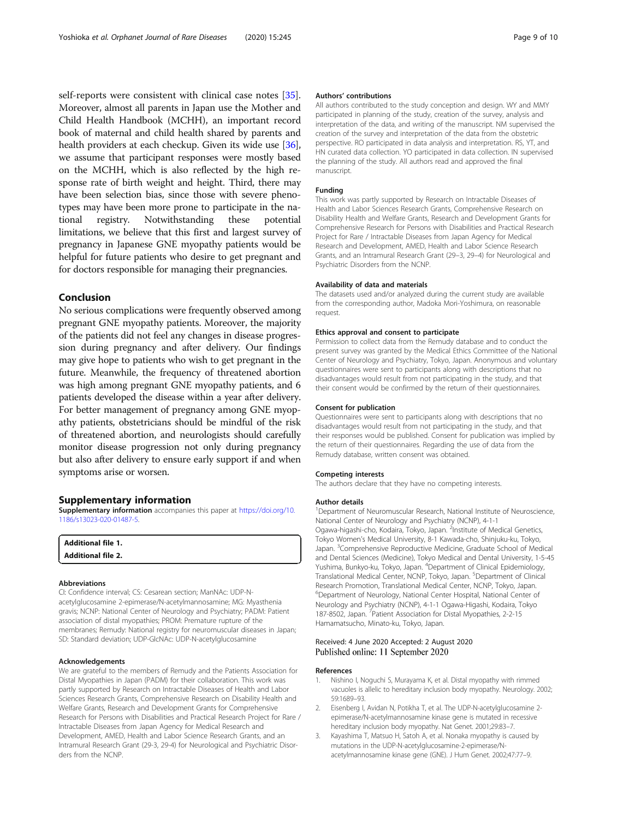<span id="page-8-0"></span>self-reports were consistent with clinical case notes [\[35](#page-9-0)]. Moreover, almost all parents in Japan use the Mother and Child Health Handbook (MCHH), an important record book of maternal and child health shared by parents and health providers at each checkup. Given its wide use [[36](#page-9-0)], we assume that participant responses were mostly based on the MCHH, which is also reflected by the high response rate of birth weight and height. Third, there may have been selection bias, since those with severe phenotypes may have been more prone to participate in the national registry. Notwithstanding these potential limitations, we believe that this first and largest survey of pregnancy in Japanese GNE myopathy patients would be helpful for future patients who desire to get pregnant and for doctors responsible for managing their pregnancies.

# Conclusion

No serious complications were frequently observed among pregnant GNE myopathy patients. Moreover, the majority of the patients did not feel any changes in disease progression during pregnancy and after delivery. Our findings may give hope to patients who wish to get pregnant in the future. Meanwhile, the frequency of threatened abortion was high among pregnant GNE myopathy patients, and 6 patients developed the disease within a year after delivery. For better management of pregnancy among GNE myopathy patients, obstetricians should be mindful of the risk of threatened abortion, and neurologists should carefully monitor disease progression not only during pregnancy but also after delivery to ensure early support if and when symptoms arise or worsen.

# Supplementary information

Supplementary information accompanies this paper at [https://doi.org/10.](https://doi.org/10.1186/s13023-020-01487-5) [1186/s13023-020-01487-5](https://doi.org/10.1186/s13023-020-01487-5).

| <b>Additional file 1.</b> |  |
|---------------------------|--|
| <b>Additional file 2.</b> |  |

# Abbreviations

CI: Confidence interval; CS: Cesarean section; ManNAc: UDP-Nacetylglucosamine 2-epimerase/N-acetylmannosamine; MG: Myasthenia gravis; NCNP: National Center of Neurology and Psychiatry; PADM: Patient association of distal myopathies; PROM: Premature rupture of the membranes; Remudy: National registry for neuromuscular diseases in Japan; SD: Standard deviation; UDP-GlcNAc: UDP-N-acetylglucosamine

# Acknowledgements

We are grateful to the members of Remudy and the Patients Association for Distal Myopathies in Japan (PADM) for their collaboration. This work was partly supported by Research on Intractable Diseases of Health and Labor Sciences Research Grants, Comprehensive Research on Disability Health and Welfare Grants, Research and Development Grants for Comprehensive Research for Persons with Disabilities and Practical Research Project for Rare / Intractable Diseases from Japan Agency for Medical Research and Development, AMED, Health and Labor Science Research Grants, and an Intramural Research Grant (29-3, 29-4) for Neurological and Psychiatric Disorders from the NCNP.

# Authors' contributions

All authors contributed to the study conception and design. WY and MMY participated in planning of the study, creation of the survey, analysis and interpretation of the data, and writing of the manuscript. NM supervised the creation of the survey and interpretation of the data from the obstetric perspective. RO participated in data analysis and interpretation. RS, YT, and HN curated data collection. YO participated in data collection. IN supervised the planning of the study. All authors read and approved the final manuscript.

# Funding

This work was partly supported by Research on Intractable Diseases of Health and Labor Sciences Research Grants, Comprehensive Research on Disability Health and Welfare Grants, Research and Development Grants for Comprehensive Research for Persons with Disabilities and Practical Research Project for Rare / Intractable Diseases from Japan Agency for Medical Research and Development, AMED, Health and Labor Science Research Grants, and an Intramural Research Grant (29–3, 29–4) for Neurological and Psychiatric Disorders from the NCNP.

#### Availability of data and materials

The datasets used and/or analyzed during the current study are available from the corresponding author, Madoka Mori-Yoshimura, on reasonable request.

#### Ethics approval and consent to participate

Permission to collect data from the Remudy database and to conduct the present survey was granted by the Medical Ethics Committee of the National Center of Neurology and Psychiatry, Tokyo, Japan. Anonymous and voluntary questionnaires were sent to participants along with descriptions that no disadvantages would result from not participating in the study, and that their consent would be confirmed by the return of their questionnaires.

#### Consent for publication

Questionnaires were sent to participants along with descriptions that no disadvantages would result from not participating in the study, and that their responses would be published. Consent for publication was implied by the return of their questionnaires. Regarding the use of data from the Remudy database, written consent was obtained.

#### Competing interests

The authors declare that they have no competing interests.

#### Author details

<sup>1</sup>Department of Neuromuscular Research, National Institute of Neuroscience, National Center of Neurology and Psychiatry (NCNP), 4-1-1 Ogawa-higashi-cho, Kodaira, Tokyo, Japan. <sup>2</sup>Institute of Medical Genetics Tokyo Women's Medical University, 8-1 Kawada-cho, Shinjuku-ku, Tokyo, Japan. <sup>3</sup> Comprehensive Reproductive Medicine, Graduate School of Medical and Dental Sciences (Medicine), Tokyo Medical and Dental University, 1-5-45 Yushima, Bunkyo-ku, Tokyo, Japan. <sup>4</sup>Department of Clinical Epidemiology, Translational Medical Center, NCNP, Tokyo, Japan. <sup>5</sup>Department of Clinical Research Promotion, Translational Medical Center, NCNP, Tokyo, Japan. 6 Department of Neurology, National Center Hospital, National Center of Neurology and Psychiatry (NCNP), 4-1-1 Ogawa-Higashi, Kodaira, Tokyo 187-8502, Japan. <sup>7</sup>Patient Association for Distal Myopathies, 2-2-15 Hamamatsucho, Minato-ku, Tokyo, Japan.

# Received: 4 June 2020 Accepted: 2 August 2020 Published online: 11 September 2020

## References

- 1. Nishino I, Noguchi S, Murayama K, et al. Distal myopathy with rimmed vacuoles is allelic to hereditary inclusion body myopathy. Neurology. 2002; 59:1689–93.
- 2. Eisenberg I, Avidan N, Potikha T, et al. The UDP-N-acetylglucosamine 2 epimerase/N-acetylmannosamine kinase gene is mutated in recessive hereditary inclusion body myopathy. Nat Genet. 2001;29:83–7.
- Kayashima T, Matsuo H, Satoh A, et al. Nonaka myopathy is caused by mutations in the UDP-N-acetylglucosamine-2-epimerase/Nacetylmannosamine kinase gene (GNE). J Hum Genet. 2002;47:77–9.